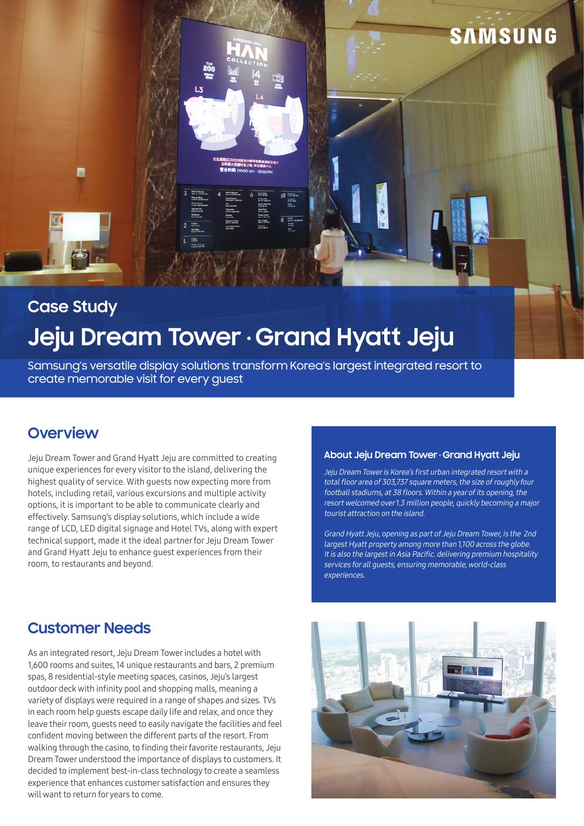

# Jeju Dream Tower · Grand Hyatt Jeju **Case Study**

Samsung's versatile display solutions transform Korea's largest integrated resort to create memorable visit for every guest

# **Overview**

Jeju Dream Tower and Grand Hyatt Jeju are committed to creating unique experiences for every visitor to the island, delivering the highest quality of service. With guests now expecting more from hotels, including retail, various excursions and multiple activity options, it is important to be able to communicate clearly and effectively. Samsung's display solutions, which include a wide range of LCD, LED digital signage and Hotel TVs, along with expert technical support, made it the ideal partner for Jeju Dream Tower and Grand Hyatt Jeju to enhance guest experiences from their room, to restaurants and beyond.

#### **About Jeju Dream Tower Grand Hyatt Jeju**

Jeju Dream Tower is Korea's first urban integrated resort with a total floor area of 303,737 square meters, the size of roughly four football stadiums, at 38 floors. Within a year of its opening, the resort welcomed over 1.3 million people, quickly becoming a major tourist attraction on the island.

Grand Hyatt Jeju, opening as part of Jeju Dream Tower, is the 2nd largest Hyatt property among more than 1,100 across the globe. It is also the largest in Asia Pacific. delivering premium hospitality services for all guests, ensuring memorable, world-class experiences.

## **Customer Needs**

As an integrated resort, Jeju Dream Tower includes a hotel with 1,600 rooms and suites, 14 unique restaurants and bars, 2 premium spas, 8 residential-style meeting spaces, casinos, Jeju's largest outdoor deck with infinity pool and shopping malls, meaning a variety of displays were required in a range of shapes and sizes. TVs in each room help guests escape daily life and relax, and once they leave their room, guests need to easily navigate the facilities and feel confident moving between the different parts of the resort. From walking through the casino, to finding their favorite restaurants, Jeju Dream Tower understood the importance of displays to customers. It decided to implement best-in-class technology to create a seamless experience that enhances customer satisfaction and ensures they will want to return for years to come.